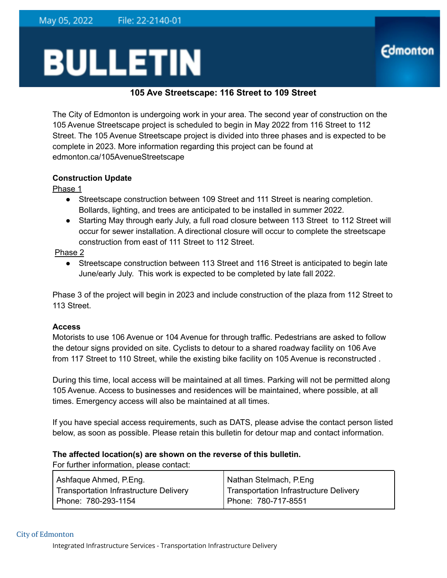# **BULLETIN**

# **105 Ave Streetscape: 116 Street to 109 Street**

**Edmonton** 

The City of Edmonton is undergoing work in your area. The second year of construction on the 105 Avenue Streetscape project is scheduled to begin in May 2022 from 116 Street to 112 Street. The 105 Avenue Streetscape project is divided into three phases and is expected to be complete in 2023. More information regarding this project can be found at edmonton.ca/105AvenueStreetscape

## **Construction Update**

Phase 1

- Streetscape construction between 109 Street and 111 Street is nearing completion. Bollards, lighting, and trees are anticipated to be installed in summer 2022.
- Starting May through early July, a full road closure between 113 Street to 112 Street will occur for sewer installation. A directional closure will occur to complete the streetscape construction from east of 111 Street to 112 Street.

Phase 2

• Streetscape construction between 113 Street and 116 Street is anticipated to begin late June/early July. This work is expected to be completed by late fall 2022.

Phase 3 of the project will begin in 2023 and include construction of the plaza from 112 Street to 113 Street.

### **Access**

Motorists to use 106 Avenue or 104 Avenue for through traffic. Pedestrians are asked to follow the detour signs provided on site. Cyclists to detour to a shared roadway facility on 106 Ave from 117 Street to 110 Street, while the existing bike facility on 105 Avenue is reconstructed .

During this time, local access will be maintained at all times. Parking will not be permitted along 105 Avenue. Access to businesses and residences will be maintained, where possible, at all times. Emergency access will also be maintained at all times.

If you have special access requirements, such as DATS, please advise the contact person listed below, as soon as possible. Please retain this bulletin for detour map and contact information.

### **The affected location(s) are shown on the reverse of this bulletin.**

For further information, please contact:

| Ashfaque Ahmed, P.Eng.                 | Nathan Stelmach, P.Eng                 |
|----------------------------------------|----------------------------------------|
| Transportation Infrastructure Delivery | Transportation Infrastructure Delivery |
| Phone: 780-293-1154                    | Phone: 780-717-8551                    |